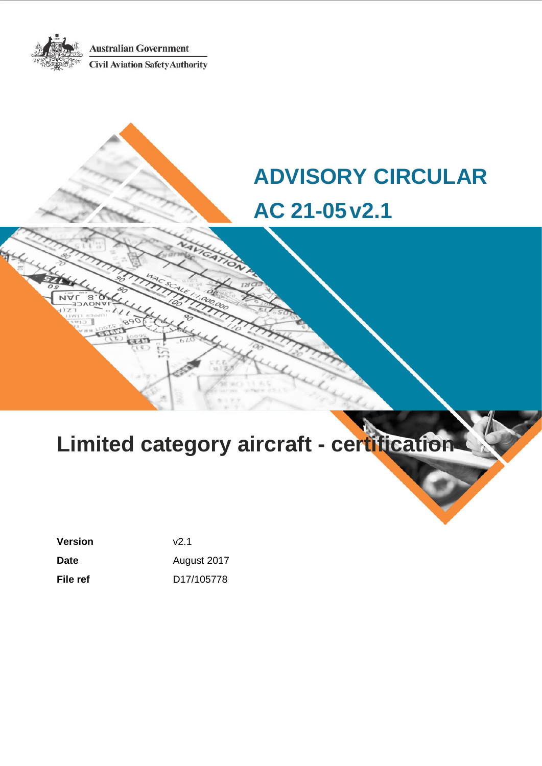**Australian Government** 

**Civil Aviation Safety Authority** 

# **ADVISORY CIRCULAR AC 21-05v2.1**

# **Limited category aircraft - certification**

**Version** v2.1 Date **Date August 2017 File ref** D17/105778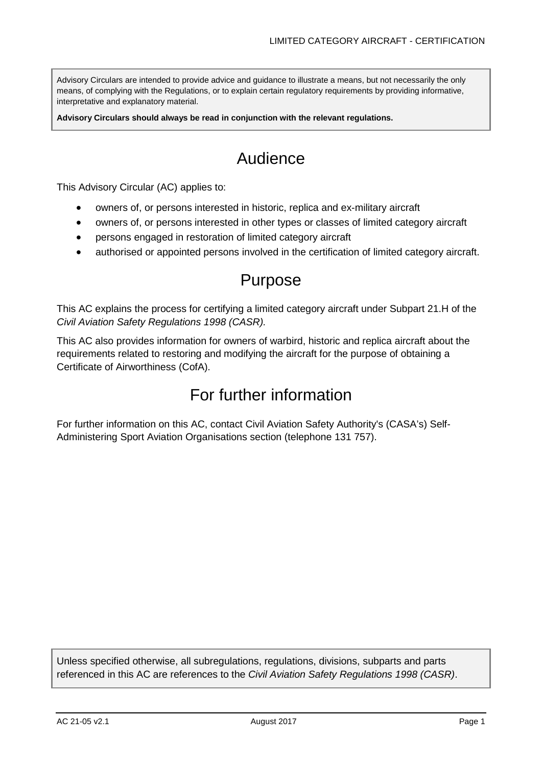Advisory Circulars are intended to provide advice and guidance to illustrate a means, but not necessarily the only means, of complying with the Regulations, or to explain certain regulatory requirements by providing informative, interpretative and explanatory material.

**Advisory Circulars should always be read in conjunction with the relevant regulations.**

# Audience

This Advisory Circular (AC) applies to:

- owners of, or persons interested in historic, replica and ex-military aircraft
- owners of, or persons interested in other types or classes of limited category aircraft
- persons engaged in restoration of limited category aircraft
- authorised or appointed persons involved in the certification of limited category aircraft.

# Purpose

This AC explains the process for certifying a limited category aircraft under Subpart 21.H of the *Civil Aviation Safety Regulations 1998 (CASR).*

This AC also provides information for owners of warbird, historic and replica aircraft about the requirements related to restoring and modifying the aircraft for the purpose of obtaining a Certificate of Airworthiness (CofA).

# For further information

For further information on this AC, contact Civil Aviation Safety Authority's (CASA's) Self-Administering Sport Aviation Organisations section (telephone 131 757).

Unless specified otherwise, all subregulations, regulations, divisions, subparts and parts referenced in this AC are references to the *Civil Aviation Safety Regulations 1998 (CASR)*.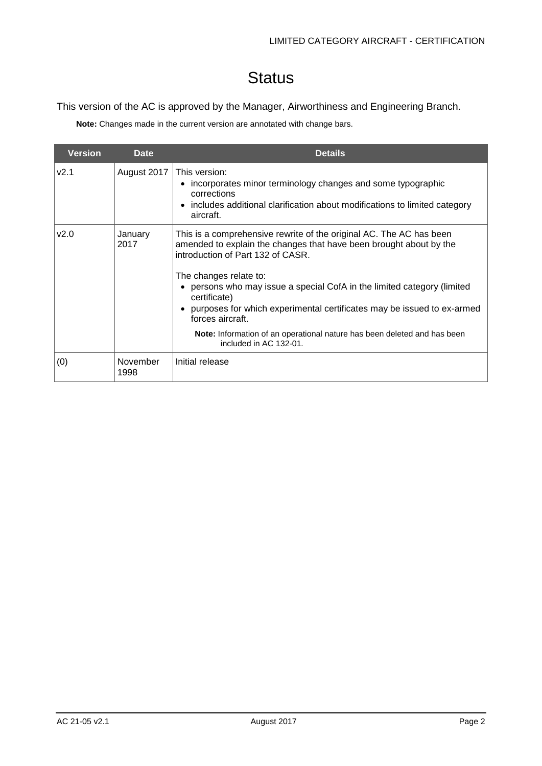# **Status**

This version of the AC is approved by the Manager, Airworthiness and Engineering Branch.

**Note:** Changes made in the current version are annotated with change bars.

| <b>Version</b> | <b>Date</b>      | <b>Details</b>                                                                                                                                                                                                                                                                                                                                                                                                                                                                                        |
|----------------|------------------|-------------------------------------------------------------------------------------------------------------------------------------------------------------------------------------------------------------------------------------------------------------------------------------------------------------------------------------------------------------------------------------------------------------------------------------------------------------------------------------------------------|
| V2.1           | August 2017      | This version:<br>incorporates minor terminology changes and some typographic<br>corrections<br>• includes additional clarification about modifications to limited category<br>aircraft.                                                                                                                                                                                                                                                                                                               |
| v2.0           | January<br>2017  | This is a comprehensive rewrite of the original AC. The AC has been<br>amended to explain the changes that have been brought about by the<br>introduction of Part 132 of CASR.<br>The changes relate to:<br>persons who may issue a special CofA in the limited category (limited<br>certificate)<br>purposes for which experimental certificates may be issued to ex-armed<br>forces aircraft.<br>Note: Information of an operational nature has been deleted and has been<br>included in AC 132-01. |
| (0)            | November<br>1998 | Initial release                                                                                                                                                                                                                                                                                                                                                                                                                                                                                       |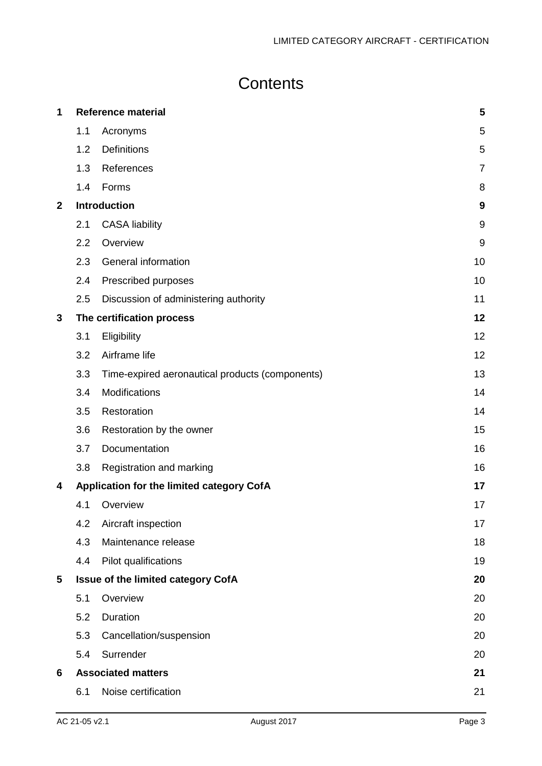# **Contents**

| 1            |     | <b>Reference material</b>                       | 5              |
|--------------|-----|-------------------------------------------------|----------------|
|              | 1.1 | Acronyms                                        | 5              |
|              | 1.2 | Definitions                                     | 5              |
|              | 1.3 | References                                      | $\overline{7}$ |
|              | 1.4 | Forms                                           | 8              |
| $\mathbf{2}$ |     | <b>Introduction</b>                             | 9              |
|              | 2.1 | <b>CASA liability</b>                           | 9              |
|              | 2.2 | Overview                                        | 9              |
|              | 2.3 | General information                             | 10             |
|              | 2.4 | Prescribed purposes                             | 10             |
|              | 2.5 | Discussion of administering authority           | 11             |
| 3            |     | The certification process                       | 12             |
|              | 3.1 | Eligibility                                     | 12             |
|              | 3.2 | Airframe life                                   | 12             |
|              | 3.3 | Time-expired aeronautical products (components) | 13             |
|              | 3.4 | Modifications                                   | 14             |
|              | 3.5 | Restoration                                     | 14             |
|              | 3.6 | Restoration by the owner                        | 15             |
|              | 3.7 | Documentation                                   | 16             |
|              | 3.8 | Registration and marking                        | 16             |
| 4            |     | Application for the limited category CofA       | 17             |
|              | 4.1 | Overview                                        | 17             |
|              | 4.2 | Aircraft inspection                             | 17             |
|              | 4.3 | Maintenance release                             | 18             |
|              | 4.4 | Pilot qualifications                            | 19             |
| 5            |     | <b>Issue of the limited category CofA</b>       | 20             |
|              | 5.1 | Overview                                        | 20             |
|              | 5.2 | Duration                                        | 20             |
|              | 5.3 | Cancellation/suspension                         | 20             |
|              | 5.4 | Surrender                                       | 20             |
| 6            |     | <b>Associated matters</b>                       | 21             |
|              | 6.1 | Noise certification                             | 21             |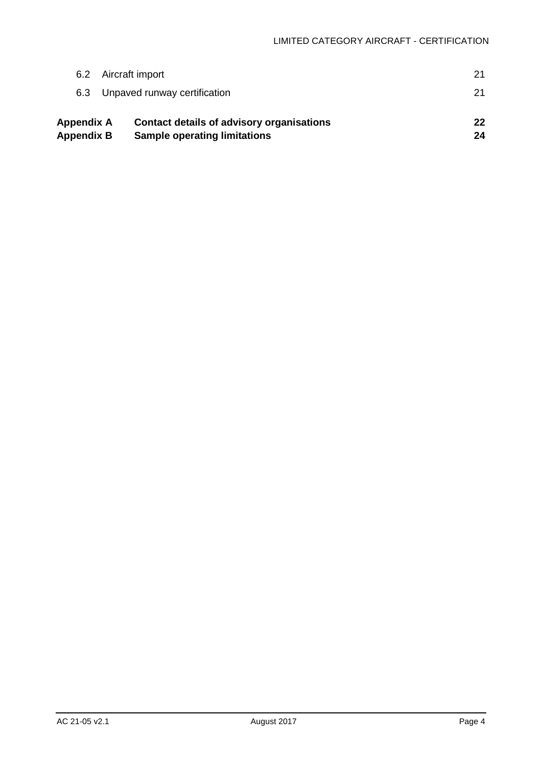| Appendix A<br><b>Appendix B</b> | <b>Contact details of advisory organisations</b><br><b>Sample operating limitations</b> | 22<br>24 |
|---------------------------------|-----------------------------------------------------------------------------------------|----------|
| 6.3                             | Unpaved runway certification                                                            | 21       |
| 6.2                             | Aircraft import                                                                         | 21       |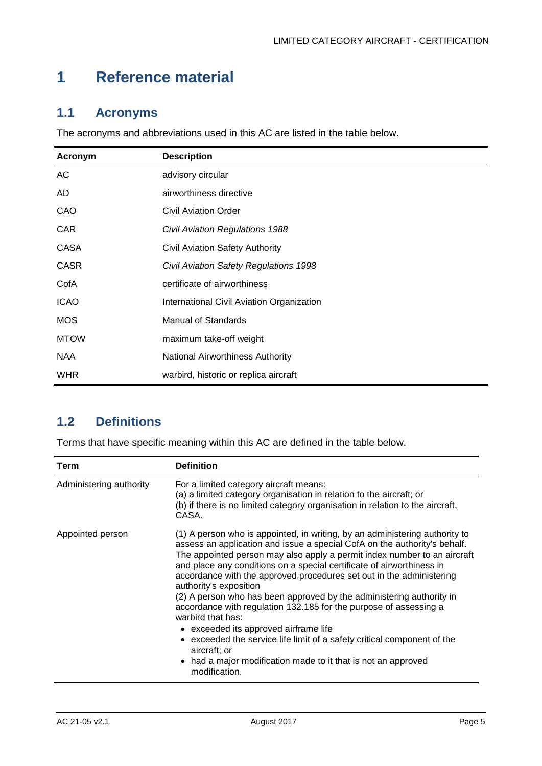# <span id="page-5-0"></span>**1 Reference material**

# <span id="page-5-1"></span>**1.1 Acronyms**

The acronyms and abbreviations used in this AC are listed in the table below.

| Acronym     | <b>Description</b>                        |
|-------------|-------------------------------------------|
| AC          | advisory circular                         |
| AD          | airworthiness directive                   |
| CAO         | <b>Civil Aviation Order</b>               |
| <b>CAR</b>  | <b>Civil Aviation Regulations 1988</b>    |
| CASA        | <b>Civil Aviation Safety Authority</b>    |
| <b>CASR</b> | Civil Aviation Safety Regulations 1998    |
| CofA        | certificate of airworthiness              |
| <b>ICAO</b> | International Civil Aviation Organization |
| <b>MOS</b>  | Manual of Standards                       |
| <b>MTOW</b> | maximum take-off weight                   |
| <b>NAA</b>  | National Airworthiness Authority          |
| <b>WHR</b>  | warbird, historic or replica aircraft     |

# <span id="page-5-2"></span>**1.2 Definitions**

Terms that have specific meaning within this AC are defined in the table below.

| Term                    | <b>Definition</b>                                                                                                                                                                                                                                                                                                                                                                                                                                                                                                                                                                                                                                                                                                                                                                                                  |
|-------------------------|--------------------------------------------------------------------------------------------------------------------------------------------------------------------------------------------------------------------------------------------------------------------------------------------------------------------------------------------------------------------------------------------------------------------------------------------------------------------------------------------------------------------------------------------------------------------------------------------------------------------------------------------------------------------------------------------------------------------------------------------------------------------------------------------------------------------|
| Administering authority | For a limited category aircraft means:<br>(a) a limited category organisation in relation to the aircraft; or<br>(b) if there is no limited category organisation in relation to the aircraft,<br>CASA.                                                                                                                                                                                                                                                                                                                                                                                                                                                                                                                                                                                                            |
| Appointed person        | (1) A person who is appointed, in writing, by an administering authority to<br>assess an application and issue a special CofA on the authority's behalf.<br>The appointed person may also apply a permit index number to an aircraft<br>and place any conditions on a special certificate of airworthiness in<br>accordance with the approved procedures set out in the administering<br>authority's exposition<br>(2) A person who has been approved by the administering authority in<br>accordance with regulation 132.185 for the purpose of assessing a<br>warbird that has:<br>• exceeded its approved airframe life<br>• exceeded the service life limit of a safety critical component of the<br>aircraft; or<br>had a major modification made to it that is not an approved<br>$\bullet$<br>modification. |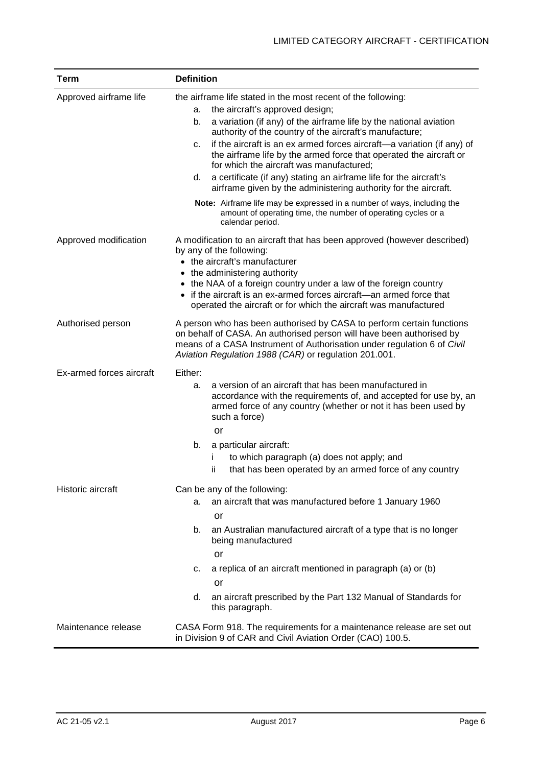| <b>Term</b>              | <b>Definition</b>                                                                                                                                                                                                                                                                                                                                                                                                                                                                                                                                                                              |
|--------------------------|------------------------------------------------------------------------------------------------------------------------------------------------------------------------------------------------------------------------------------------------------------------------------------------------------------------------------------------------------------------------------------------------------------------------------------------------------------------------------------------------------------------------------------------------------------------------------------------------|
| Approved airframe life   | the airframe life stated in the most recent of the following:<br>the aircraft's approved design;<br>a.<br>a variation (if any) of the airframe life by the national aviation<br>b.<br>authority of the country of the aircraft's manufacture;<br>if the aircraft is an ex armed forces aircraft-a variation (if any) of<br>c.<br>the airframe life by the armed force that operated the aircraft or<br>for which the aircraft was manufactured;<br>a certificate (if any) stating an airframe life for the aircraft's<br>d.<br>airframe given by the administering authority for the aircraft. |
|                          | Note: Airframe life may be expressed in a number of ways, including the<br>amount of operating time, the number of operating cycles or a<br>calendar period.                                                                                                                                                                                                                                                                                                                                                                                                                                   |
| Approved modification    | A modification to an aircraft that has been approved (however described)<br>by any of the following:<br>• the aircraft's manufacturer<br>• the administering authority<br>• the NAA of a foreign country under a law of the foreign country<br>if the aircraft is an ex-armed forces aircraft-an armed force that<br>operated the aircraft or for which the aircraft was manufactured                                                                                                                                                                                                          |
| Authorised person        | A person who has been authorised by CASA to perform certain functions<br>on behalf of CASA. An authorised person will have been authorised by<br>means of a CASA Instrument of Authorisation under regulation 6 of Civil<br>Aviation Regulation 1988 (CAR) or regulation 201.001.                                                                                                                                                                                                                                                                                                              |
| Ex-armed forces aircraft | Either:<br>a version of an aircraft that has been manufactured in<br>а.<br>accordance with the requirements of, and accepted for use by, an<br>armed force of any country (whether or not it has been used by<br>such a force)<br>or                                                                                                                                                                                                                                                                                                                                                           |
|                          | a particular aircraft:<br>b.<br>to which paragraph (a) does not apply; and<br>Ĺ<br>that has been operated by an armed force of any country<br>ij.                                                                                                                                                                                                                                                                                                                                                                                                                                              |
| Historic aircraft        | Can be any of the following:<br>an aircraft that was manufactured before 1 January 1960<br>a.<br>or<br>an Australian manufactured aircraft of a type that is no longer<br>b.<br>being manufactured<br>or<br>a replica of an aircraft mentioned in paragraph (a) or (b)<br>c.<br>or                                                                                                                                                                                                                                                                                                             |
| Maintenance release      | an aircraft prescribed by the Part 132 Manual of Standards for<br>d.<br>this paragraph.<br>CASA Form 918. The requirements for a maintenance release are set out<br>in Division 9 of CAR and Civil Aviation Order (CAO) 100.5.                                                                                                                                                                                                                                                                                                                                                                 |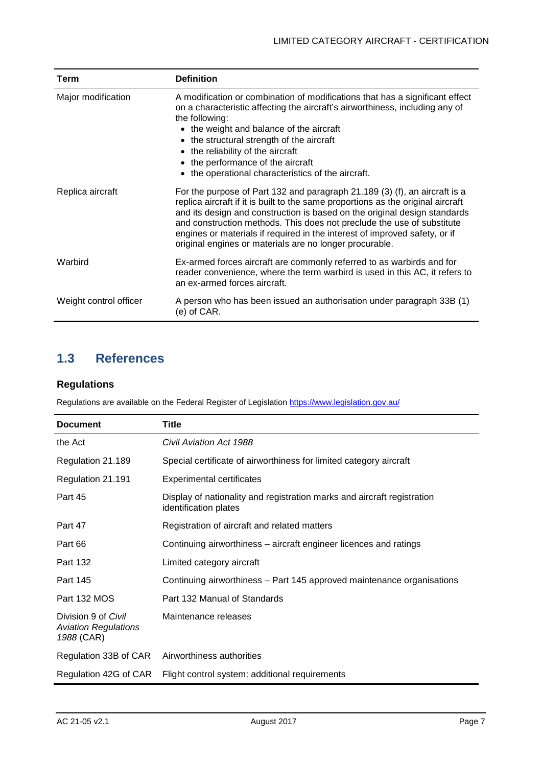| Term                   | <b>Definition</b>                                                                                                                                                                                                                                                                                                                                                                                                                                              |
|------------------------|----------------------------------------------------------------------------------------------------------------------------------------------------------------------------------------------------------------------------------------------------------------------------------------------------------------------------------------------------------------------------------------------------------------------------------------------------------------|
| Major modification     | A modification or combination of modifications that has a significant effect<br>on a characteristic affecting the aircraft's airworthiness, including any of<br>the following:<br>• the weight and balance of the aircraft<br>• the structural strength of the aircraft<br>the reliability of the aircraft<br>the performance of the aircraft<br>the operational characteristics of the aircraft.<br>$\bullet$                                                 |
| Replica aircraft       | For the purpose of Part 132 and paragraph 21.189 (3) (f), an aircraft is a<br>replica aircraft if it is built to the same proportions as the original aircraft<br>and its design and construction is based on the original design standards<br>and construction methods. This does not preclude the use of substitute<br>engines or materials if required in the interest of improved safety, or if<br>original engines or materials are no longer procurable. |
| Warbird                | Ex-armed forces aircraft are commonly referred to as warbirds and for<br>reader convenience, where the term warbird is used in this AC, it refers to<br>an ex-armed forces aircraft.                                                                                                                                                                                                                                                                           |
| Weight control officer | A person who has been issued an authorisation under paragraph 33B (1)<br>(e) of CAR.                                                                                                                                                                                                                                                                                                                                                                           |

# <span id="page-7-0"></span>**1.3 References**

#### **Regulations**

Regulations are available on the Federal Register of Legislation<https://www.legislation.gov.au/>

| <b>Document</b>                                                  | Title                                                                                            |
|------------------------------------------------------------------|--------------------------------------------------------------------------------------------------|
| the Act                                                          | Civil Aviation Act 1988                                                                          |
| Regulation 21.189                                                | Special certificate of airworthiness for limited category aircraft                               |
| Regulation 21.191                                                | <b>Experimental certificates</b>                                                                 |
| Part 45                                                          | Display of nationality and registration marks and aircraft registration<br>identification plates |
| Part 47                                                          | Registration of aircraft and related matters                                                     |
| Part 66                                                          | Continuing airworthiness - aircraft engineer licences and ratings                                |
| Part 132                                                         | Limited category aircraft                                                                        |
| Part 145                                                         | Continuing airworthiness – Part 145 approved maintenance organisations                           |
| Part 132 MOS                                                     | Part 132 Manual of Standards                                                                     |
| Division 9 of Civil<br><b>Aviation Regulations</b><br>1988 (CAR) | Maintenance releases                                                                             |
| Regulation 33B of CAR                                            | Airworthiness authorities                                                                        |
| Regulation 42G of CAR                                            | Flight control system: additional requirements                                                   |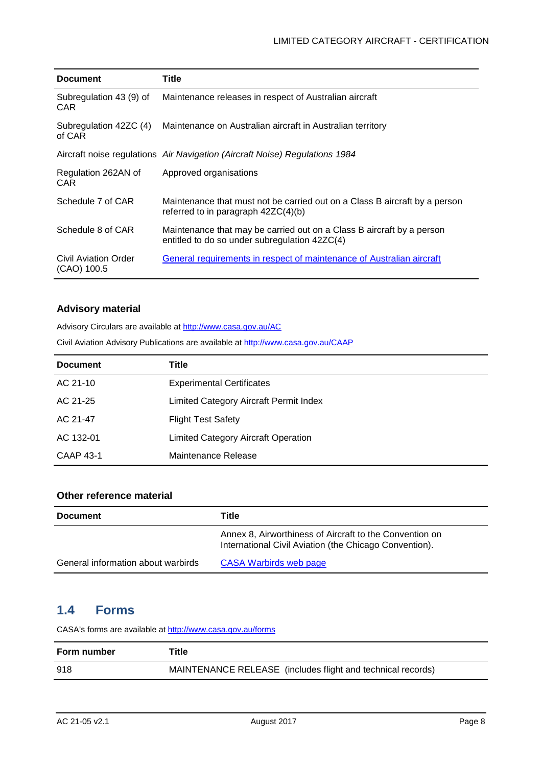| <b>Document</b>                       | <b>Title</b>                                                                                                           |
|---------------------------------------|------------------------------------------------------------------------------------------------------------------------|
| Subregulation 43 (9) of<br><b>CAR</b> | Maintenance releases in respect of Australian aircraft                                                                 |
| Subregulation 42ZC (4)<br>of CAR      | Maintenance on Australian aircraft in Australian territory                                                             |
|                                       | Aircraft noise regulations Air Navigation (Aircraft Noise) Regulations 1984                                            |
| Regulation 262AN of<br><b>CAR</b>     | Approved organisations                                                                                                 |
| Schedule 7 of CAR                     | Maintenance that must not be carried out on a Class B aircraft by a person<br>referred to in paragraph $42ZC(4)(b)$    |
| Schedule 8 of CAR                     | Maintenance that may be carried out on a Class B aircraft by a person<br>entitled to do so under subregulation 42ZC(4) |
| Civil Aviation Order<br>(CAO) 100.5   | General requirements in respect of maintenance of Australian aircraft                                                  |

#### **Advisory material**

Advisory Circulars are available at [http://www.casa.gov.au/AC](http://www.casa.gov.au/ACs)

Civil Aviation Advisory Publications are available at [http://www.casa.gov.au/CAAP](http://www.casa.gov.au/CAAPs)

| <b>Document</b>  | Title                                      |
|------------------|--------------------------------------------|
| AC 21-10         | <b>Experimental Certificates</b>           |
| AC 21-25         | Limited Category Aircraft Permit Index     |
| AC 21-47         | <b>Flight Test Safety</b>                  |
| AC 132-01        | <b>Limited Category Aircraft Operation</b> |
| <b>CAAP 43-1</b> | Maintenance Release                        |

#### **Other reference material**

| <b>Document</b>                    | Title                                                                                                             |
|------------------------------------|-------------------------------------------------------------------------------------------------------------------|
|                                    | Annex 8, Airworthiness of Aircraft to the Convention on<br>International Civil Aviation (the Chicago Convention). |
| General information about warbirds | CASA Warbirds web page                                                                                            |

### <span id="page-8-0"></span>**1.4 Forms**

CASA's forms are available a[t http://www.casa.gov.au/forms](http://www.casa.gov.au/forms)

| Form number | Title                                                       |
|-------------|-------------------------------------------------------------|
| 918         | MAINTENANCE RELEASE (includes flight and technical records) |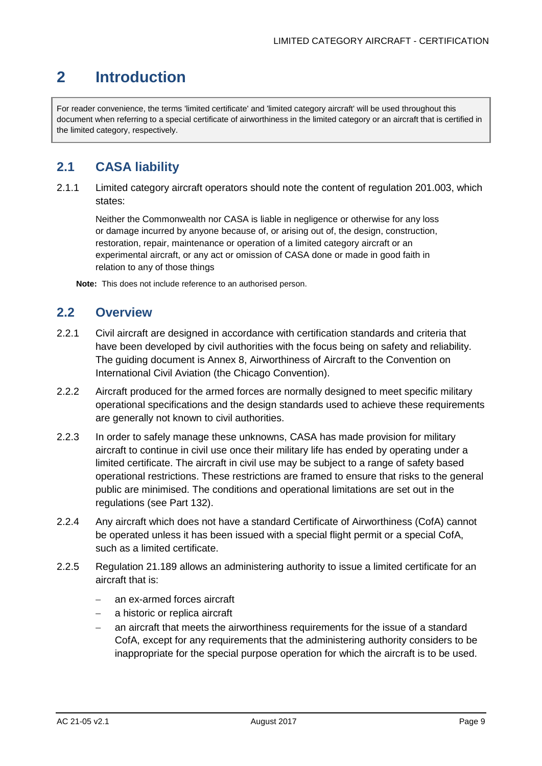# <span id="page-9-0"></span>**2 Introduction**

For reader convenience, the terms 'limited certificate' and 'limited category aircraft' will be used throughout this document when referring to a special certificate of airworthiness in the limited category or an aircraft that is certified in the limited category, respectively.

# <span id="page-9-1"></span>**2.1 CASA liability**

2.1.1 Limited category aircraft operators should note the content of regulation 201.003, which states:

Neither the Commonwealth nor CASA is liable in negligence or otherwise for any loss or damage incurred by anyone because of, or arising out of, the design, construction, restoration, repair, maintenance or operation of a limited category aircraft or an experimental aircraft, or any act or omission of CASA done or made in good faith in relation to any of those things

**Note:** This does not include reference to an authorised person.

### <span id="page-9-2"></span>**2.2 Overview**

- 2.2.1 Civil aircraft are designed in accordance with certification standards and criteria that have been developed by civil authorities with the focus being on safety and reliability. The guiding document is Annex 8, Airworthiness of Aircraft to the Convention on International Civil Aviation (the Chicago Convention).
- 2.2.2 Aircraft produced for the armed forces are normally designed to meet specific military operational specifications and the design standards used to achieve these requirements are generally not known to civil authorities.
- 2.2.3 In order to safely manage these unknowns, CASA has made provision for military aircraft to continue in civil use once their military life has ended by operating under a limited certificate. The aircraft in civil use may be subject to a range of safety based operational restrictions. These restrictions are framed to ensure that risks to the general public are minimised. The conditions and operational limitations are set out in the regulations (see Part 132).
- 2.2.4 Any aircraft which does not have a standard Certificate of Airworthiness (CofA) cannot be operated unless it has been issued with a special flight permit or a special CofA, such as a limited certificate.
- 2.2.5 Regulation 21.189 allows an administering authority to issue a limited certificate for an aircraft that is:
	- an ex-armed forces aircraft
	- a historic or replica aircraft
	- an aircraft that meets the airworthiness requirements for the issue of a standard CofA, except for any requirements that the administering authority considers to be inappropriate for the special purpose operation for which the aircraft is to be used.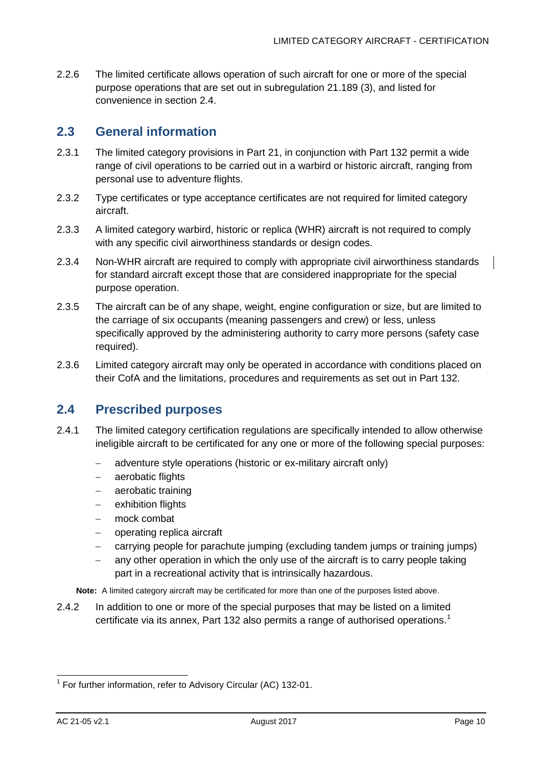2.2.6 The limited certificate allows operation of such aircraft for one or more of the special purpose operations that are set out in subregulation 21.189 (3), and listed for convenience in section [2.4.](#page-10-1)

### <span id="page-10-0"></span>**2.3 General information**

- 2.3.1 The limited category provisions in Part 21, in conjunction with Part 132 permit a wide range of civil operations to be carried out in a warbird or historic aircraft, ranging from personal use to adventure flights.
- 2.3.2 Type certificates or type acceptance certificates are not required for limited category aircraft.
- 2.3.3 A limited category warbird, historic or replica (WHR) aircraft is not required to comply with any specific civil airworthiness standards or design codes.
- 2.3.4 Non-WHR aircraft are required to comply with appropriate civil airworthiness standards for standard aircraft except those that are considered inappropriate for the special purpose operation.
- 2.3.5 The aircraft can be of any shape, weight, engine configuration or size, but are limited to the carriage of six occupants (meaning passengers and crew) or less, unless specifically approved by the administering authority to carry more persons (safety case required).
- 2.3.6 Limited category aircraft may only be operated in accordance with conditions placed on their CofA and the limitations, procedures and requirements as set out in Part 132.

### <span id="page-10-1"></span>**2.4 Prescribed purposes**

- 2.4.1 The limited category certification regulations are specifically intended to allow otherwise ineligible aircraft to be certificated for any one or more of the following special purposes:
	- − adventure style operations (historic or ex-military aircraft only)
	- − aerobatic flights
	- − aerobatic training
	- − exhibition flights
	- − mock combat
	- − operating replica aircraft
	- − carrying people for parachute jumping (excluding tandem jumps or training jumps)
	- any other operation in which the only use of the aircraft is to carry people taking part in a recreational activity that is intrinsically hazardous.

**Note:** A limited category aircraft may be certificated for more than one of the purposes listed above.

2.4.2 In addition to one or more of the special purposes that may be listed on a limited certificate via its annex, Part 132 also permits a range of authorised operations. [1](#page-10-2)

<span id="page-10-2"></span> $1$  For further information, refer to Advisory Circular (AC) 132-01.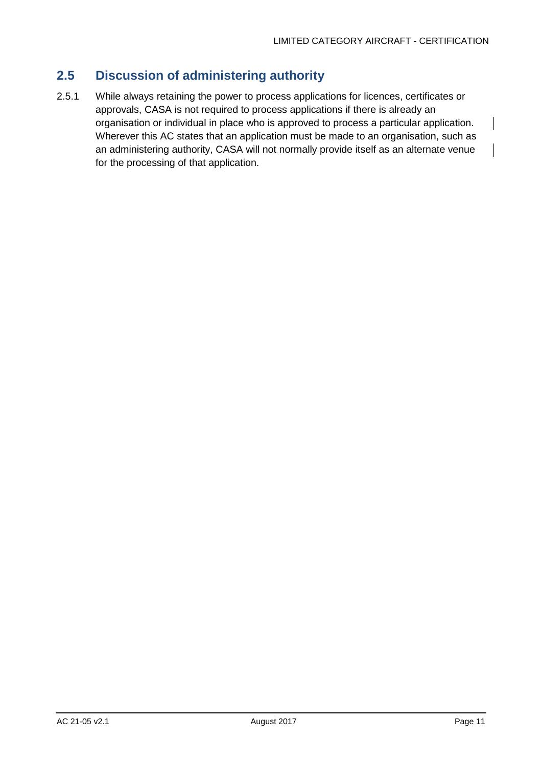# <span id="page-11-0"></span>**2.5 Discussion of administering authority**

2.5.1 While always retaining the power to process applications for licences, certificates or approvals, CASA is not required to process applications if there is already an organisation or individual in place who is approved to process a particular application. Wherever this AC states that an application must be made to an organisation, such as an administering authority, CASA will not normally provide itself as an alternate venue for the processing of that application.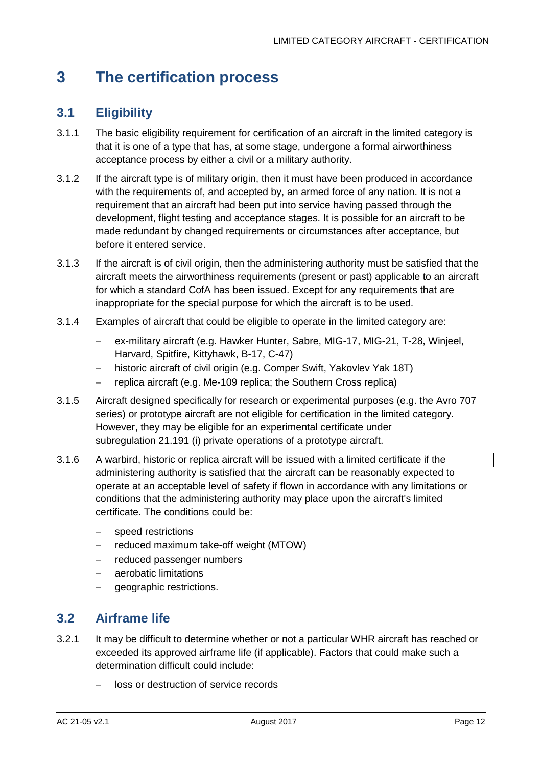# <span id="page-12-0"></span>**3 The certification process**

# <span id="page-12-1"></span>**3.1 Eligibility**

- 3.1.1 The basic eligibility requirement for certification of an aircraft in the limited category is that it is one of a type that has, at some stage, undergone a formal airworthiness acceptance process by either a civil or a military authority.
- 3.1.2 If the aircraft type is of military origin, then it must have been produced in accordance with the requirements of, and accepted by, an armed force of any nation. It is not a requirement that an aircraft had been put into service having passed through the development, flight testing and acceptance stages. It is possible for an aircraft to be made redundant by changed requirements or circumstances after acceptance, but before it entered service.
- 3.1.3 If the aircraft is of civil origin, then the administering authority must be satisfied that the aircraft meets the airworthiness requirements (present or past) applicable to an aircraft for which a standard CofA has been issued. Except for any requirements that are inappropriate for the special purpose for which the aircraft is to be used.
- 3.1.4 Examples of aircraft that could be eligible to operate in the limited category are:
	- − ex-military aircraft (e.g. Hawker Hunter, Sabre, MIG-17, MIG-21, T-28, Winjeel, Harvard, Spitfire, Kittyhawk, B-17, C-47)
	- historic aircraft of civil origin (e.g. Comper Swift, Yakovlev Yak 18T)
	- − replica aircraft (e.g. Me-109 replica; the Southern Cross replica)
- 3.1.5 Aircraft designed specifically for research or experimental purposes (e.g. the Avro 707 series) or prototype aircraft are not eligible for certification in the limited category. However, they may be eligible for an experimental certificate under subregulation 21.191 (i) private operations of a prototype aircraft.
- 3.1.6 A warbird, historic or replica aircraft will be issued with a limited certificate if the administering authority is satisfied that the aircraft can be reasonably expected to operate at an acceptable level of safety if flown in accordance with any limitations or conditions that the administering authority may place upon the aircraft's limited certificate. The conditions could be:
	- speed restrictions
	- − reduced maximum take-off weight (MTOW)
	- − reduced passenger numbers
	- − aerobatic limitations
	- − geographic restrictions.

## <span id="page-12-2"></span>**3.2 Airframe life**

- 3.2.1 It may be difficult to determine whether or not a particular WHR aircraft has reached or exceeded its approved airframe life (if applicable). Factors that could make such a determination difficult could include:
	- − loss or destruction of service records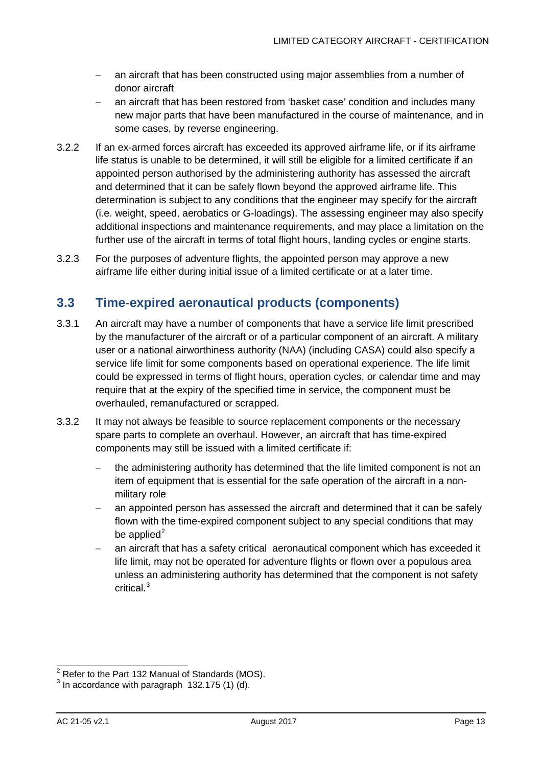- − an aircraft that has been constructed using major assemblies from a number of donor aircraft
- an aircraft that has been restored from 'basket case' condition and includes many new major parts that have been manufactured in the course of maintenance, and in some cases, by reverse engineering.
- 3.2.2 If an ex-armed forces aircraft has exceeded its approved airframe life, or if its airframe life status is unable to be determined, it will still be eligible for a limited certificate if an appointed person authorised by the administering authority has assessed the aircraft and determined that it can be safely flown beyond the approved airframe life. This determination is subject to any conditions that the engineer may specify for the aircraft (i.e. weight, speed, aerobatics or G-loadings). The assessing engineer may also specify additional inspections and maintenance requirements, and may place a limitation on the further use of the aircraft in terms of total flight hours, landing cycles or engine starts.
- 3.2.3 For the purposes of adventure flights, the appointed person may approve a new airframe life either during initial issue of a limited certificate or at a later time.

## <span id="page-13-0"></span>**3.3 Time-expired aeronautical products (components)**

- 3.3.1 An aircraft may have a number of components that have a service life limit prescribed by the manufacturer of the aircraft or of a particular component of an aircraft. A military user or a national airworthiness authority (NAA) (including CASA) could also specify a service life limit for some components based on operational experience. The life limit could be expressed in terms of flight hours, operation cycles, or calendar time and may require that at the expiry of the specified time in service, the component must be overhauled, remanufactured or scrapped.
- 3.3.2 It may not always be feasible to source replacement components or the necessary spare parts to complete an overhaul. However, an aircraft that has time-expired components may still be issued with a limited certificate if:
	- − the administering authority has determined that the life limited component is not an item of equipment that is essential for the safe operation of the aircraft in a nonmilitary role
	- an appointed person has assessed the aircraft and determined that it can be safely flown with the time-expired component subject to any special conditions that may be applied $2$
	- an aircraft that has a safety critical aeronautical component which has exceeded it life limit, may not be operated for adventure flights or flown over a populous area unless an administering authority has determined that the component is not safety critical. [3](#page-13-2)

 $2$  Refer to the Part 132 Manual of Standards (MOS).

<span id="page-13-2"></span><span id="page-13-1"></span> $3$  In accordance with paragraph 132.175 (1) (d).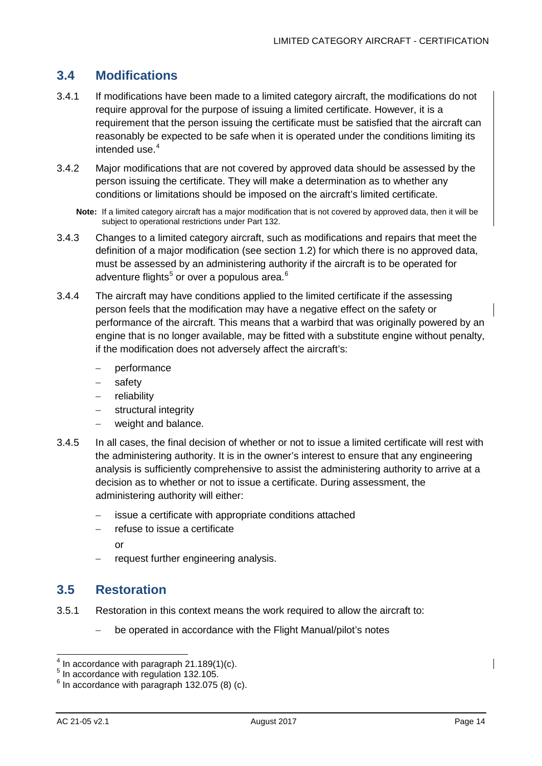# <span id="page-14-0"></span>**3.4 Modifications**

- 3.4.1 If modifications have been made to a limited category aircraft, the modifications do not require approval for the purpose of issuing a limited certificate. However, it is a requirement that the person issuing the certificate must be satisfied that the aircraft can reasonably be expected to be safe when it is operated under the conditions limiting its intended use. [4](#page-14-2)
- 3.4.2 Major modifications that are not covered by approved data should be assessed by the person issuing the certificate. They will make a determination as to whether any conditions or limitations should be imposed on the aircraft's limited certificate.

**Note:** If a limited category aircraft has a major modification that is not covered by approved data, then it will be subject to operational restrictions under Part 132.

- 3.4.3 Changes to a limited category aircraft, such as modifications and repairs that meet the definition of a major modification (see section [1.2\)](#page-5-2) for which there is no approved data, must be assessed by an administering authority if the aircraft is to be operated for adventure flights<sup>[5](#page-14-3)</sup> or over a populous area.<sup>[6](#page-14-4)</sup>
- 3.4.4 The aircraft may have conditions applied to the limited certificate if the assessing person feels that the modification may have a negative effect on the safety or performance of the aircraft. This means that a warbird that was originally powered by an engine that is no longer available, may be fitted with a substitute engine without penalty, if the modification does not adversely affect the aircraft's:
	- performance
	- − safety
	- reliability
	- − structural integrity
	- weight and balance.
- 3.4.5 In all cases, the final decision of whether or not to issue a limited certificate will rest with the administering authority. It is in the owner's interest to ensure that any engineering analysis is sufficiently comprehensive to assist the administering authority to arrive at a decision as to whether or not to issue a certificate. During assessment, the administering authority will either:
	- − issue a certificate with appropriate conditions attached
	- refuse to issue a certificate

or

− request further engineering analysis.

### <span id="page-14-1"></span>**3.5 Restoration**

- 3.5.1 Restoration in this context means the work required to allow the aircraft to:
	- be operated in accordance with the Flight Manual/pilot's notes

 $4$  In accordance with paragraph 21.189(1)(c).

<span id="page-14-3"></span><span id="page-14-2"></span><sup>&</sup>lt;sup>5</sup> In accordance with regulation 132.105.

<span id="page-14-4"></span> $6$  In accordance with paragraph 132.075 (8) (c).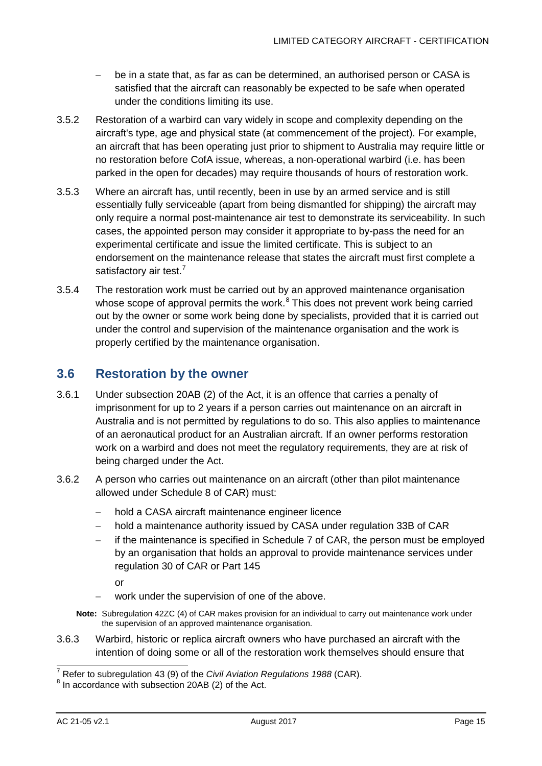- − be in a state that, as far as can be determined, an authorised person or CASA is satisfied that the aircraft can reasonably be expected to be safe when operated under the conditions limiting its use.
- 3.5.2 Restoration of a warbird can vary widely in scope and complexity depending on the aircraft's type, age and physical state (at commencement of the project). For example, an aircraft that has been operating just prior to shipment to Australia may require little or no restoration before CofA issue, whereas, a non-operational warbird (i.e. has been parked in the open for decades) may require thousands of hours of restoration work.
- 3.5.3 Where an aircraft has, until recently, been in use by an armed service and is still essentially fully serviceable (apart from being dismantled for shipping) the aircraft may only require a normal post-maintenance air test to demonstrate its serviceability. In such cases, the appointed person may consider it appropriate to by-pass the need for an experimental certificate and issue the limited certificate. This is subject to an endorsement on the maintenance release that states the aircraft must first complete a satisfactory air test.<sup>[7](#page-15-1)</sup>
- 3.5.4 The restoration work must be carried out by an approved maintenance organisation whose scope of approval permits the work.<sup>[8](#page-15-2)</sup> This does not prevent work being carried out by the owner or some work being done by specialists, provided that it is carried out under the control and supervision of the maintenance organisation and the work is properly certified by the maintenance organisation.

# <span id="page-15-0"></span>**3.6 Restoration by the owner**

- 3.6.1 Under subsection 20AB (2) of the Act, it is an offence that carries a penalty of imprisonment for up to 2 years if a person carries out maintenance on an aircraft in Australia and is not permitted by regulations to do so. This also applies to maintenance of an aeronautical product for an Australian aircraft. If an owner performs restoration work on a warbird and does not meet the regulatory requirements, they are at risk of being charged under the Act.
- 3.6.2 A person who carries out maintenance on an aircraft (other than pilot maintenance allowed under Schedule 8 of CAR) must:
	- − hold a CASA aircraft maintenance engineer licence
	- − hold a maintenance authority issued by CASA under regulation 33B of CAR
	- if the maintenance is specified in Schedule 7 of CAR, the person must be employed by an organisation that holds an approval to provide maintenance services under regulation 30 of CAR or Part 145

or

- work under the supervision of one of the above.
- **Note:** Subregulation 42ZC (4) of CAR makes provision for an individual to carry out maintenance work under the supervision of an approved maintenance organisation.
- 3.6.3 Warbird, historic or replica aircraft owners who have purchased an aircraft with the intention of doing some or all of the restoration work themselves should ensure that

<span id="page-15-1"></span><sup>&</sup>lt;sup>7</sup> Refer to subregulation 43 (9) of the *Civil Aviation Regulations 1988* (CAR).<br><sup>8</sup> In accordance with subsection 20AB (2) of the Act.

<span id="page-15-2"></span>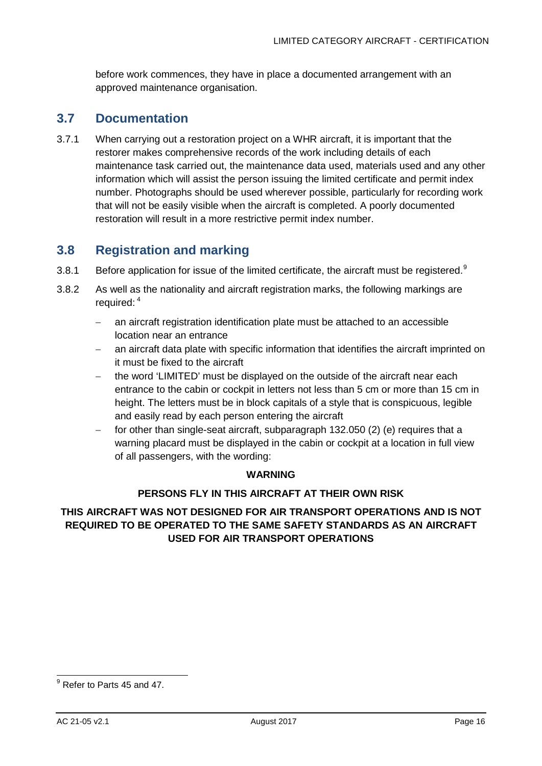before work commences, they have in place a documented arrangement with an approved maintenance organisation.

### <span id="page-16-0"></span>**3.7 Documentation**

3.7.1 When carrying out a restoration project on a WHR aircraft, it is important that the restorer makes comprehensive records of the work including details of each maintenance task carried out, the maintenance data used, materials used and any other information which will assist the person issuing the limited certificate and permit index number. Photographs should be used wherever possible, particularly for recording work that will not be easily visible when the aircraft is completed. A poorly documented restoration will result in a more restrictive permit index number.

# <span id="page-16-1"></span>**3.8 Registration and marking**

- 3.8.1 Before application for issue of the limited certificate, the aircraft must be registered.<sup>[9](#page-16-2)</sup>
- 3.8.2 As well as the nationality and aircraft registration marks, the following markings are required: <sup>4</sup>
	- − an aircraft registration identification plate must be attached to an accessible location near an entrance
	- − an aircraft data plate with specific information that identifies the aircraft imprinted on it must be fixed to the aircraft
	- the word 'LIMITED' must be displayed on the outside of the aircraft near each entrance to the cabin or cockpit in letters not less than 5 cm or more than 15 cm in height. The letters must be in block capitals of a style that is conspicuous, legible and easily read by each person entering the aircraft
	- for other than single-seat aircraft, subparagraph 132.050 (2) (e) requires that a warning placard must be displayed in the cabin or cockpit at a location in full view of all passengers, with the wording:

#### **WARNING**

#### **PERSONS FLY IN THIS AIRCRAFT AT THEIR OWN RISK**

#### **THIS AIRCRAFT WAS NOT DESIGNED FOR AIR TRANSPORT OPERATIONS AND IS NOT REQUIRED TO BE OPERATED TO THE SAME SAFETY STANDARDS AS AN AIRCRAFT USED FOR AIR TRANSPORT OPERATIONS**

<span id="page-16-2"></span><sup>&</sup>lt;sup>9</sup> Refer to Parts 45 and 47.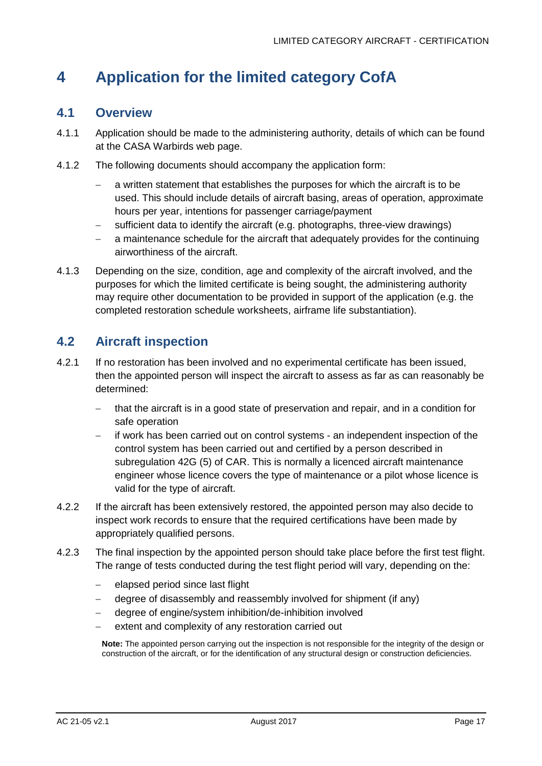# <span id="page-17-0"></span>**4 Application for the limited category CofA**

### <span id="page-17-1"></span>**4.1 Overview**

- 4.1.1 Application should be made to the administering authority, details of which can be found at the CASA Warbirds web page.
- 4.1.2 The following documents should accompany the application form:
	- − a written statement that establishes the purposes for which the aircraft is to be used. This should include details of aircraft basing, areas of operation, approximate hours per year, intentions for passenger carriage/payment
	- sufficient data to identify the aircraft (e.g. photographs, three-view drawings)
	- a maintenance schedule for the aircraft that adequately provides for the continuing airworthiness of the aircraft.
- 4.1.3 Depending on the size, condition, age and complexity of the aircraft involved, and the purposes for which the limited certificate is being sought, the administering authority may require other documentation to be provided in support of the application (e.g. the completed restoration schedule worksheets, airframe life substantiation).

# <span id="page-17-2"></span>**4.2 Aircraft inspection**

- 4.2.1 If no restoration has been involved and no experimental certificate has been issued, then the appointed person will inspect the aircraft to assess as far as can reasonably be determined:
	- − that the aircraft is in a good state of preservation and repair, and in a condition for safe operation
	- − if work has been carried out on control systems an independent inspection of the control system has been carried out and certified by a person described in subregulation 42G (5) of CAR. This is normally a licenced aircraft maintenance engineer whose licence covers the type of maintenance or a pilot whose licence is valid for the type of aircraft.
- 4.2.2 If the aircraft has been extensively restored, the appointed person may also decide to inspect work records to ensure that the required certifications have been made by appropriately qualified persons.
- 4.2.3 The final inspection by the appointed person should take place before the first test flight. The range of tests conducted during the test flight period will vary, depending on the:
	- − elapsed period since last flight
	- − degree of disassembly and reassembly involved for shipment (if any)
	- − degree of engine/system inhibition/de-inhibition involved
	- extent and complexity of any restoration carried out

**Note:** The appointed person carrying out the inspection is not responsible for the integrity of the design or construction of the aircraft, or for the identification of any structural design or construction deficiencies.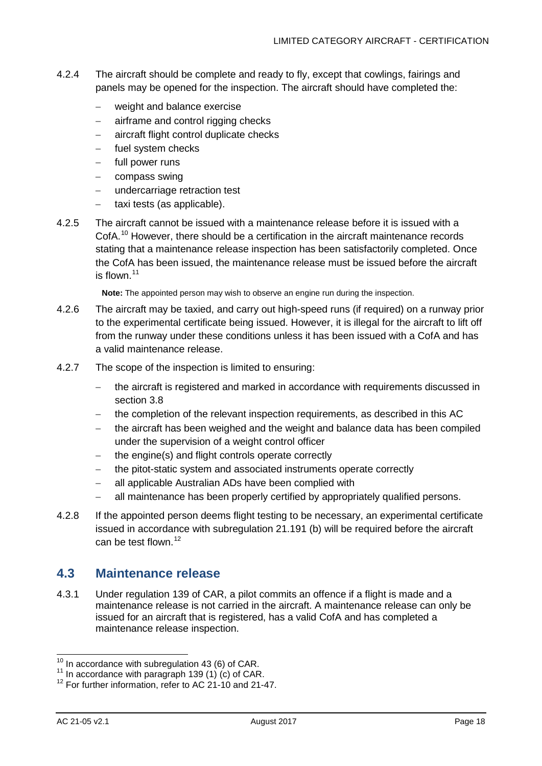- 4.2.4 The aircraft should be complete and ready to fly, except that cowlings, fairings and panels may be opened for the inspection. The aircraft should have completed the:
	- − weight and balance exercise
	- − airframe and control rigging checks
	- − aircraft flight control duplicate checks
	- fuel system checks
	- − full power runs
	- − compass swing
	- − undercarriage retraction test
	- − taxi tests (as applicable).
- 4.2.5 The aircraft cannot be issued with a maintenance release before it is issued with a CofA.<sup>[10](#page-18-1)</sup> However, there should be a certification in the aircraft maintenance records stating that a maintenance release inspection has been satisfactorily completed. Once the CofA has been issued, the maintenance release must be issued before the aircraft is flown. [11](#page-18-2)

**Note:** The appointed person may wish to observe an engine run during the inspection.

- 4.2.6 The aircraft may be taxied, and carry out high-speed runs (if required) on a runway prior to the experimental certificate being issued. However, it is illegal for the aircraft to lift off from the runway under these conditions unless it has been issued with a CofA and has a valid maintenance release.
- 4.2.7 The scope of the inspection is limited to ensuring:
	- the aircraft is registered and marked in accordance with requirements discussed in section [3.8](#page-16-1)
	- the completion of the relevant inspection requirements, as described in this AC
	- the aircraft has been weighed and the weight and balance data has been compiled under the supervision of a weight control officer
	- − the engine(s) and flight controls operate correctly
	- − the pitot-static system and associated instruments operate correctly
	- − all applicable Australian ADs have been complied with
	- − all maintenance has been properly certified by appropriately qualified persons.
- 4.2.8 If the appointed person deems flight testing to be necessary, an experimental certificate issued in accordance with subregulation 21.191 (b) will be required before the aircraft can be test flown.<sup>[12](#page-18-3)</sup>

### <span id="page-18-0"></span>**4.3 Maintenance release**

4.3.1 Under regulation 139 of CAR, a pilot commits an offence if a flight is made and a maintenance release is not carried in the aircraft. A maintenance release can only be issued for an aircraft that is registered, has a valid CofA and has completed a maintenance release inspection.

<span id="page-18-2"></span><span id="page-18-1"></span><sup>&</sup>lt;sup>10</sup> In accordance with subregulation 43 (6) of CAR.<br><sup>11</sup> In accordance with paragraph 139 (1) (c) of CAR.<br><sup>12</sup> For further information, refer to AC 21-10 and 21-47.

<span id="page-18-3"></span>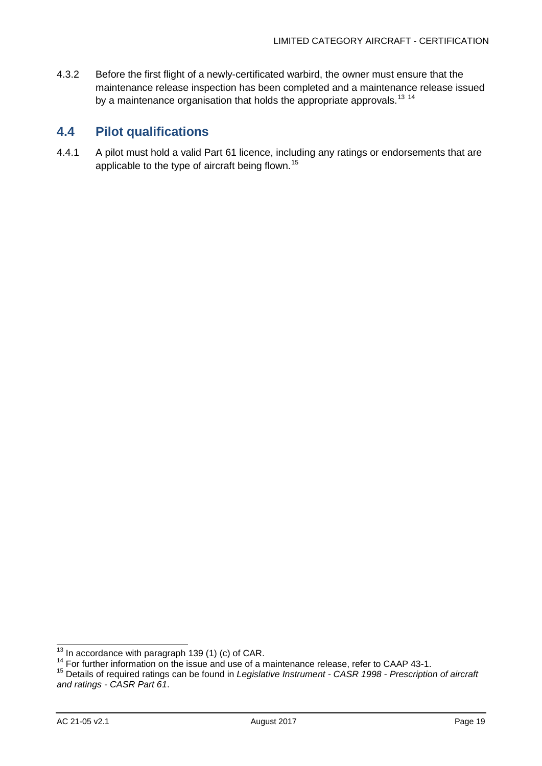4.3.2 Before the first flight of a newly-certificated warbird, the owner must ensure that the maintenance release inspection has been completed and a maintenance release issued by a maintenance organisation that holds the appropriate approvals.<sup>[13](#page-19-1)</sup><sup>[14](#page-19-2)</sup>

# <span id="page-19-0"></span>**4.4 Pilot qualifications**

4.4.1 A pilot must hold a valid Part 61 licence, including any ratings or endorsements that are applicable to the type of aircraft being flown.<sup>[15](#page-19-3)</sup>

<span id="page-19-3"></span>

<span id="page-19-2"></span><span id="page-19-1"></span><sup>&</sup>lt;sup>13</sup> In accordance with paragraph 139 (1) (c) of CAR.<br><sup>14</sup> For further information on the issue and use of a maintenance release, refer to CAAP 43-1.<br><sup>15</sup> Details of required ratings can be found in *Legislative Instrumen and ratings - [CASR Part 61](http://www.comlaw.gov.au/Current/F2015L00013)*.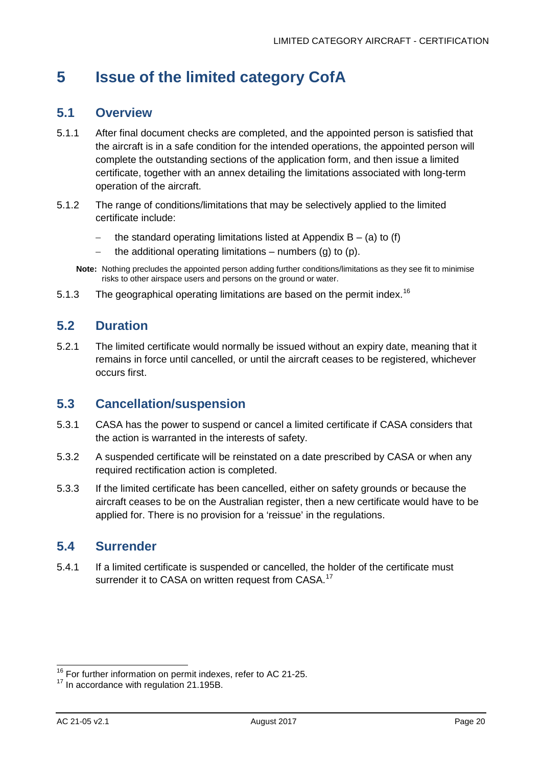# <span id="page-20-0"></span>**5 Issue of the limited category CofA**

### <span id="page-20-1"></span>**5.1 Overview**

- 5.1.1 After final document checks are completed, and the appointed person is satisfied that the aircraft is in a safe condition for the intended operations, the appointed person will complete the outstanding sections of the application form, and then issue a limited certificate, together with an annex detailing the limitations associated with long-term operation of the aircraft.
- 5.1.2 The range of conditions/limitations that may be selectively applied to the limited certificate include:
	- − the standard operating limitations listed at [Appendix B](#page-24-0) (a) to (f)
	- − the additional operating limitations numbers (g) to (p).
	- **Note:** Nothing precludes the appointed person adding further conditions/limitations as they see fit to minimise risks to other airspace users and persons on the ground or water.
- 5.1.3 The geographical operating limitations are based on the permit index.<sup>[16](#page-20-5)</sup>

#### <span id="page-20-2"></span>**5.2 Duration**

5.2.1 The limited certificate would normally be issued without an expiry date, meaning that it remains in force until cancelled, or until the aircraft ceases to be registered, whichever occurs first.

### <span id="page-20-3"></span>**5.3 Cancellation/suspension**

- 5.3.1 CASA has the power to suspend or cancel a limited certificate if CASA considers that the action is warranted in the interests of safety.
- 5.3.2 A suspended certificate will be reinstated on a date prescribed by CASA or when any required rectification action is completed.
- 5.3.3 If the limited certificate has been cancelled, either on safety grounds or because the aircraft ceases to be on the Australian register, then a new certificate would have to be applied for. There is no provision for a 'reissue' in the regulations.

#### <span id="page-20-4"></span>**5.4 Surrender**

5.4.1 If a limited certificate is suspended or cancelled, the holder of the certificate must surrender it to CASA on written request from CASA.<sup>[17](#page-20-6)</sup>

<span id="page-20-6"></span><span id="page-20-5"></span><sup>&</sup>lt;sup>16</sup> For further information on permit indexes, refer to AC 21-25.<br><sup>17</sup> In accordance with regulation 21.195B.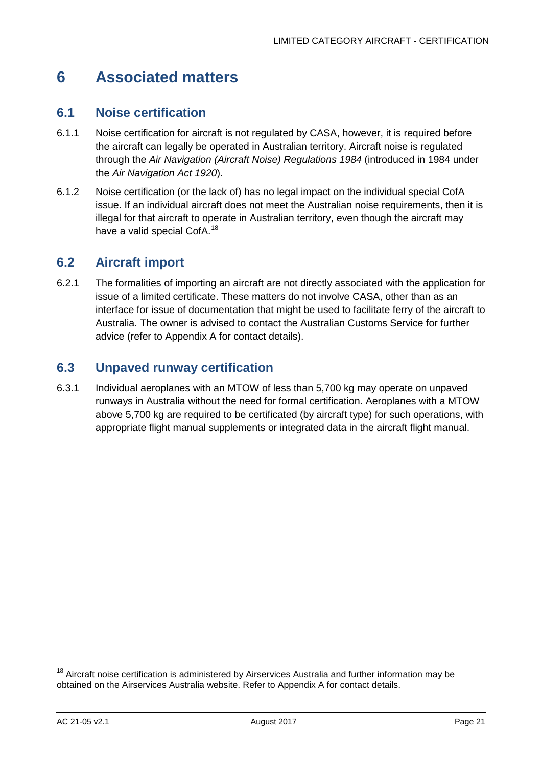# <span id="page-21-0"></span>**6 Associated matters**

### <span id="page-21-1"></span>**6.1 Noise certification**

- 6.1.1 Noise certification for aircraft is not regulated by CASA, however, it is required before the aircraft can legally be operated in Australian territory. Aircraft noise is regulated through the *Air Navigation (Aircraft Noise) Regulations 1984* (introduced in 1984 under the *Air Navigation Act 1920*).
- 6.1.2 Noise certification (or the lack of) has no legal impact on the individual special CofA issue. If an individual aircraft does not meet the Australian noise requirements, then it is illegal for that aircraft to operate in Australian territory, even though the aircraft may have a valid special CofA.<sup>[18](#page-21-4)</sup>

## <span id="page-21-2"></span>**6.2 Aircraft import**

6.2.1 The formalities of importing an aircraft are not directly associated with the application for issue of a limited certificate. These matters do not involve CASA, other than as an interface for issue of documentation that might be used to facilitate ferry of the aircraft to Australia. The owner is advised to contact the Australian Customs Service for further advice (refer to [Appendix A](#page-22-0) for contact details).

## <span id="page-21-3"></span>**6.3 Unpaved runway certification**

6.3.1 Individual aeroplanes with an MTOW of less than 5,700 kg may operate on unpaved runways in Australia without the need for formal certification. Aeroplanes with a MTOW above 5,700 kg are required to be certificated (by aircraft type) for such operations, with appropriate flight manual supplements or integrated data in the aircraft flight manual.

<span id="page-21-4"></span> $18$  Aircraft noise certification is administered by Airservices Australia and further information may be obtained on the Airservices Australia website. Refer to [Appendix A](#page-22-0) for contact details.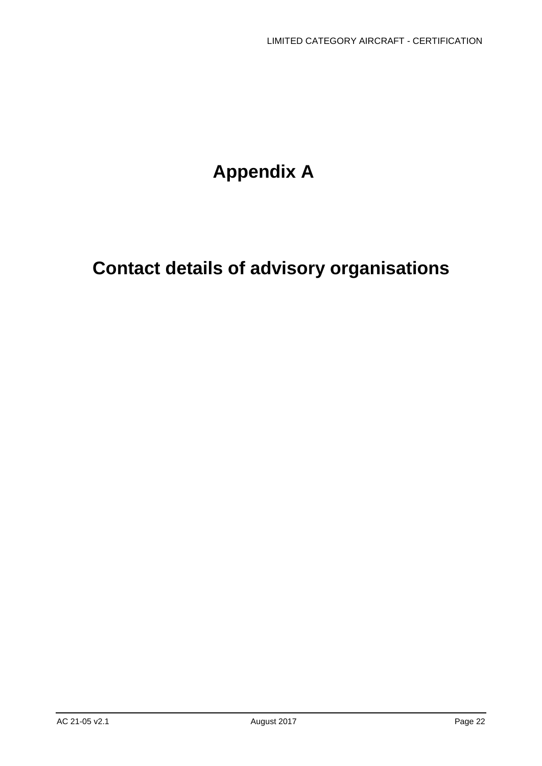# **Appendix A**

# <span id="page-22-0"></span>**Contact details of advisory organisations**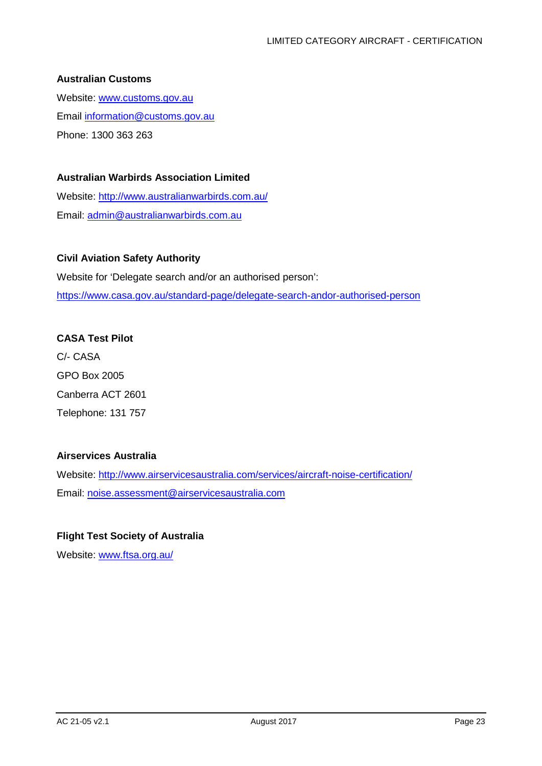#### **Australian Customs**

Website: [www.customs.gov.au](http://www.customs.gov.au/) Email [information@customs.gov.au](mailto:information@customs.gov.au) Phone: 1300 363 263

#### **Australian Warbirds Association Limited**

Website:<http://www.australianwarbirds.com.au/> Email: [admin@australianwarbirds.com.au](mailto:admin@australianwarbirds.com.au)

#### **Civil Aviation Safety Authority**

Website for 'Delegate search and/or an authorised person': <https://www.casa.gov.au/standard-page/delegate-search-andor-authorised-person>

#### **CASA Test Pilot**

C/- CASA GPO Box 2005 Canberra ACT 2601 Telephone: 131 757

#### **Airservices Australia**

Website: <http://www.airservicesaustralia.com/services/aircraft-noise-certification/> Email: [noise.assessment@airservicesaustralia.com](mailto:noise.assessment@airservicesaustralia.com)

#### **Flight Test Society of Australia**

Website: [www.ftsa.org.au/](http://www.ftsa.org.au/)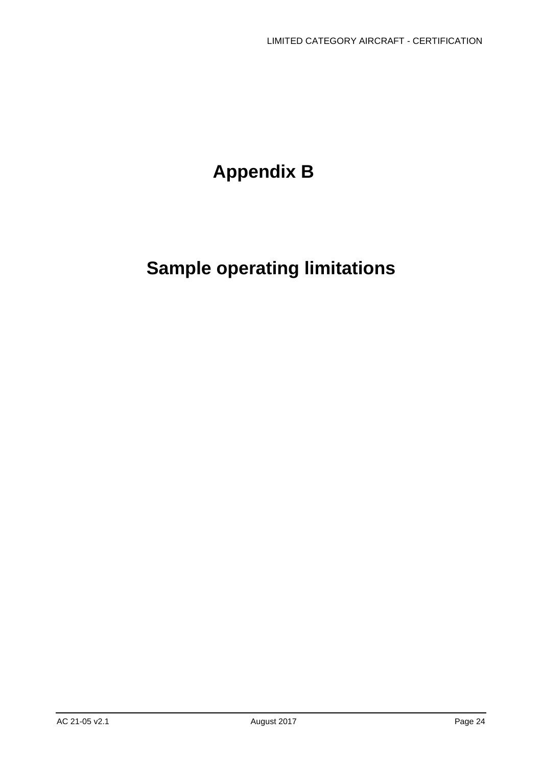# **Appendix B**

# <span id="page-24-0"></span>**Sample operating limitations**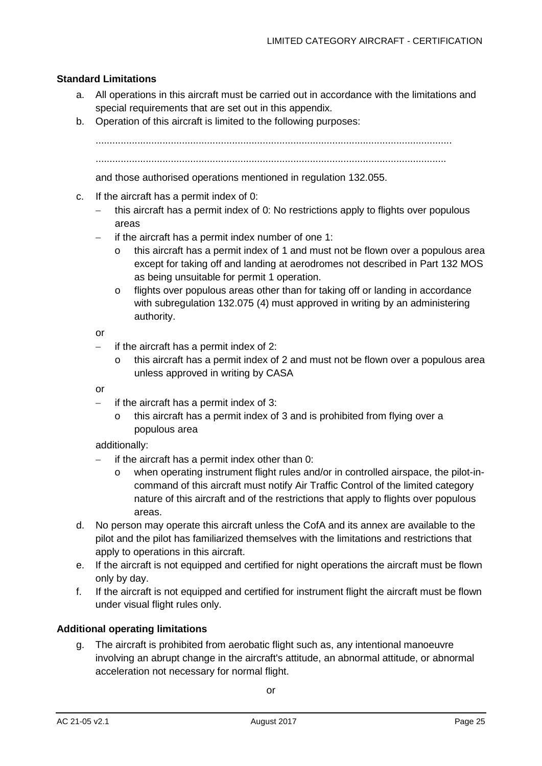#### **Standard Limitations**

- a. All operations in this aircraft must be carried out in accordance with the limitations and special requirements that are set out in this appendix.
- b. Operation of this aircraft is limited to the following purposes:

................................................................................................................................

..............................................................................................................................

and those authorised operations mentioned in regulation 132.055.

- c. If the aircraft has a permit index of 0:
	- − this aircraft has a permit index of 0: No restrictions apply to flights over populous areas
	- − if the aircraft has a permit index number of one 1:
		- this aircraft has a permit index of 1 and must not be flown over a populous area except for taking off and landing at aerodromes not described in Part 132 MOS as being unsuitable for permit 1 operation.
		- o flights over populous areas other than for taking off or landing in accordance with subregulation 132.075 (4) must approved in writing by an administering authority.

or

- if the aircraft has a permit index of 2:
	- o this aircraft has a permit index of 2 and must not be flown over a populous area unless approved in writing by CASA

or

- − if the aircraft has a permit index of 3:
	- this aircraft has a permit index of 3 and is prohibited from flying over a populous area

additionally:

- if the aircraft has a permit index other than 0:
	- o when operating instrument flight rules and/or in controlled airspace, the pilot-incommand of this aircraft must notify Air Traffic Control of the limited category nature of this aircraft and of the restrictions that apply to flights over populous areas.
- d. No person may operate this aircraft unless the CofA and its annex are available to the pilot and the pilot has familiarized themselves with the limitations and restrictions that apply to operations in this aircraft.
- e. If the aircraft is not equipped and certified for night operations the aircraft must be flown only by day.
- f. If the aircraft is not equipped and certified for instrument flight the aircraft must be flown under visual flight rules only.

#### **Additional operating limitations**

g. The aircraft is prohibited from aerobatic flight such as, any intentional manoeuvre involving an abrupt change in the aircraft's attitude, an abnormal attitude, or abnormal acceleration not necessary for normal flight.